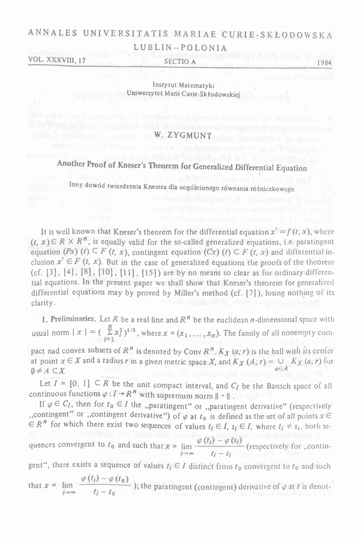## ANNALES UNIVERSITATIS MARIAE CURIE-SKŁODOWSKA LUBLIN-POLONIA

VOL. XXXVIII, 17 SECTIO A 1984

Instytut Matematyki Uniwersytet Marii Curie-Skłodowskiej

### W. ZYGMUNT

# Another Proof of Kneser'<sup>s</sup> Theorem for Generalized Differential Equation

Inny dowód twierdzenia Knesera dla uogólnionego równania różniczkowego

It is well known that Kneser's theorem for the differential equation  $x' = f(t, x)$ , where  $(t, x) \in R \times R^n$ , is equally valid for the so-called generalized equations, i.e. paratingent equation  $(Px)$  (t)  $\subseteq$  *F*  $(t, x)$ , contingent equation  $(Cx)$   $(t) \subseteq$  *F*  $(t, x)$  and differential inclusion  $x' \in F$  (*t*, *x*). But in the case of generalized equations the proofs of the theorem (cf. [3], [4], [8], [10], [11], [15]) are by no means so clear as for ordinary differential equations. In the present paper we shall show that Kneser'<sup>s</sup> theorem for generalized differential equations may by proved by Miller'<sup>s</sup> method (cf. [7]), losing nothing of its clarity.

1. Preliminaries. Let R be a real line and  $R<sup>n</sup>$  be the euclidean *n*-dimensional space with usual norm  $|x| = (\sum_{i=1}^{n} x_i^2)^{1/2}$ , where  $x = (x_1, \ldots, x_n)$ . The family of all nonempty compact nad convex subsets of  $R^n$  is denoted by Conv  $R^n$ *.*  $K_X(a;r)$  is the ball with its center pact nad convex subsets of  $R^n$  is denoted by Conv  $R^n$ .  $K_X$   $(a; r)$  is the ball with its center at point  $x \in X$  and a radius *r* in a given metric space *X*, and  $K_X$   $(A; r) = \bigcup_{a \in A} K_X$   $(a; r)$  for  $\emptyset \neq A \subset X$ .

 $\emptyset \neq A \subset X$ <br>Let  $I = [0, 1] \subset R$  be the unit compact interval, and  $C_I$  be the Banach space of all continuous functions  $\varphi: I \to R^n$  with supremum norm  $\|\cdot\|$ .

If  $\varphi \in C_I$ , then for  $t_0 \in I$  the "paratingent" or "paratingent derivative" (respectively "contingent" or "contingent derivative") of  $\varphi$  at  $t_0$  is defined as the set of all points  $x \in$  $\overrightarrow{E}$  R<sup>n</sup> for which there exist two sequences of values  $t_i \in I$ ,  $s_i \in I$ , where  $t_i \neq s_i$ , both se-

quences convergent to  $t_0$  and such that  $x = \lim_{h \to 0} \frac{\varphi(t_i) - \varphi(s_i)}{h_i}$  (respectively for ...contin $t_j - s_j$ quences convergent to  $t_0$  and such that  $x = \lim_{i \to \infty} \frac{\varphi(t_i) - \varphi(s_i)}{t_i - s_i}$  (respectively for ,,contingent", there exists a sequence of values  $t_i \in I$  distinct from  $t_0$  convergent to  $t_0$  and such

$$
\text{gent } \text{, there exists a sequence of values } \mathbf{r}_i \in I \text{ distinct from } t_0 \text{ convergent to } t_0 \text{ and such}
$$
\n
$$
\text{that } \mathbf{x} = \lim_{j \to \infty} \frac{\varphi(t_i) - \varphi(t_0)}{t_i - t_0} \text{; the paradigm (contingent) derivative of } \varphi \text{ at } t \text{ is denot-}
$$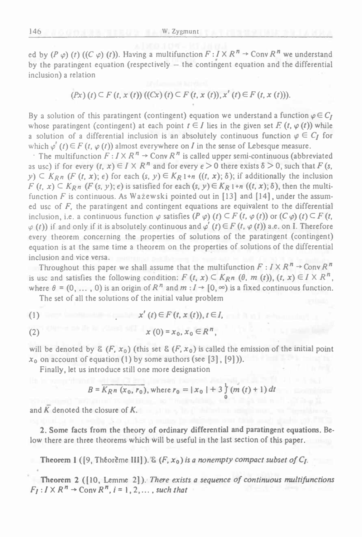ed by  $(P \varphi)$   $(t)$   $((C \varphi) (t))$ . Having a multifunction  $F: I \times R^n \rightarrow \text{Conv } R^n$  we understand by the paratingent equation (respectively — the contingent equation and the differential inclusion) <sup>a</sup> relation

$$
(Px) (t) \subseteq F (t, x (t)) ((Cx) (t) \subseteq F (t, x (t)), x' (t) \in F (t, x (t))).
$$

By a solution of this paratingent (contingent) equation we understand a function  $\varphi \in C_I$ whose paratingent (contingent) at each point  $t \in I$  lies in the given set *F.*  $(t, \varphi(t))$  while By a solution of this paratingent (contingent) equation we understand a function  $\varphi \in C_I$ <br>whose paratingent (contingent) at each point  $t \in I$  lies in the given set E  $(t, \varphi(t))$  while<br>a solution of a differential inclusion a solution of a differential inclusion is an absolutely continuous function  $\varphi \in C_I$  for which  $\varphi'(t) \in F(t, \varphi(t))$  almost everywhere on *I* in the sense of Lebesque measure.

 $\cdot$  The multifunction  $F: I \times R^n \rightarrow$  Conv  $R^n$  is called upper semi-continuous (abbreviated as use) if for every  $(t, x) \in I \times R^n$  and for every  $\epsilon > 0$  there exists  $\delta > 0$ , such that *F* (s,  $y$ )  $\subset$   $K_{R}$ <sup>*n*</sup> (*F* (*t*, *x*);  $\epsilon$ ) for each (*s*, *y*)  $\in$   $K_{R}$ 1+*n* ((*t*, *x*);  $\delta$ ); if additionally the inclusion  $F(t, x) \subseteq K_{Rn}$  (*F* (*s*, *y*);  $\epsilon$ ) is satisfied for each (*s*, *y*) $\in K_{R1}$ +*n* ((*t*, *x*);  $\delta$ ), then the multifunction *F* is continuous. As Wazewski pointed out in [13] and [14], under the assumed use of *F,* the paratingent and contingent equations are equivalent to the differential inclusion, i.e. a continuous function  $\varphi$  satisfies  $(P \varphi)$   $(t) \subset F$   $(t, \varphi(t))$  or  $(C \varphi)$   $(t) \subset F$   $(t,$  $\varphi$  (*t*)) if and only if it is absolutely continuous and  $\varphi'$  (*t*)  $\in$  *F* (*t*,  $\varphi$  (*t*)) a.e. on I. Therefore every theorem concerning the properties of solutions of the paratingent (contingent) equation is at the same time <sup>a</sup> theorem on the properties of solutions of the differential inclusion and vice versa.

Throughout this paper we shall assume that the multifunction  $F: I \times R^n \to \text{Conv } R^n$ is use and satisfies the following condition:  $F(t, x) \subset K_{R}n$  ( $\theta$ ,  $m(t)$ ),  $(t, x) \in I \times R^n$ , where  $\theta = (0, \ldots, 0)$  is an origin of  $R^n$  and  $m : I \rightarrow [0, \infty)$  is a fixed continuous function.

The set of all the solutions of the initial value problem

(1) 
$$
x'(t) \in F(t, x(t)), t \in I
$$

$$
x(0) = x_0, x_0 \in R^n,
$$

will be denoted by  $\&$  (F,  $x_0$ ) (this set  $\&$  (F,  $x_0$ ) is called the emission of the initial point  $x_0$  on account of equation (1) by some authors (see [3], [9])).

Finally, let us introduce still one more designation

$$
B = \overline{K_{Rn} (x_0, r_0)}, \text{ where } r_0 = |x_0| + 3 \frac{1}{9} (m(t) + 1) dt
$$

and *<sup>K</sup>* denoted the closure of *K.*

2. Some facts from the theory of ordinary differential and paratingent equations. Below there are three theorems which will be useful in the last section of this paper.

Theorem 1 ([9, Théorème III]).  $\&$  (F,  $x_0$ ) is a nonempty compact subset of  $C_I$ .

Theorem <sup>2</sup> ([10, Lemme 2]). *There exists <sup>a</sup> sequence of continuous multifunctions*  $F_i: I \times R^n \rightarrow$  Conv  $R^n$ ,  $i = 1, 2, ...$ , *such that*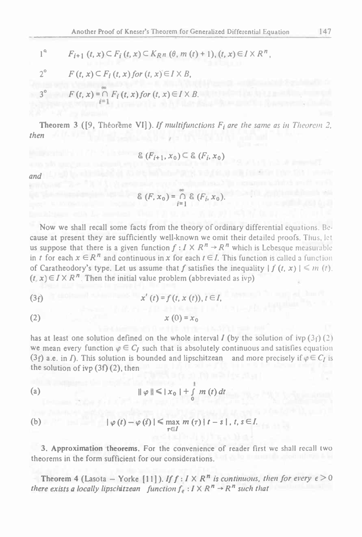Another Proof of Kneser's Theorem for Generalized Differential Eq.  
\n
$$
1^{a} \qquad F_{i+1} (t, x) \subset F_{i} (t, x) \subset K_{R} n \ (\theta, m \ (t) + 1), (t, x) \in I \times R^{n},
$$
\n
$$
2^{o} \qquad F (t, x) \subset F_{i} (t, x) \text{ for } (t, x) \in I \times B,
$$

Another Proof of Kneser's Theorem for C  
\n
$$
1^{a} \qquad F_{i+1} (t, x) \subset F_{i} (t, x) \subset K_{R} n \ (\theta, m)
$$
\n
$$
2^{o} \qquad F (t, x) \subset F_{i} (t, x) \text{ for } (t, x) \in I \times B,
$$
\n
$$
3^{o} \qquad F (t, x) = \bigcap F_{i} (t, x) \text{ for } (t, x) \in I \times B,
$$

Another Proof of Kneser's Theorem for Gei  
\n
$$
1^{a} \qquad F_{i+1} (t, x) \subset F_{i} (t, x) \subset K_{R} n \ (\theta, m \ (t)
$$
\n
$$
2^{o} \qquad F (t, x) \subset F_{i} (t, x) \text{ for } (t, x) \in I \times B,
$$
\n
$$
3^{o} \qquad F (t, x) = \bigcap_{i=1}^{\infty} F_{i} (t, x) \text{ for } (t, x) \in I \times B.
$$

Theorem 3 ([9, Théoreme VI]). If multifunctions  $F_i$  are the same as in Theorem 2, *then*

$$
\mathcal{E}\left(F_{i+1},x_0\right)\subseteq\mathcal{E}\left(F_i,x_0\right)
$$

and (L) 50 b, all makes it as SC before Party and factor in relative that I would

$$
\& (F, x_0) = \bigcap_{i=1} \& (F_i, x_0).
$$

Now we shall recall some facts from the theory of ordinary differential equations. Because at present they are sufficiently well-known we omit their detailed proofs. Thus, let us suppose that there is a given function  $f: I \times R^n \to R^n$  which is Lebesque measurable in *t* for each  $x \in R^n$  and continuous in x for each  $t \in I$ . This function is called a function of Caratheodory's type. Let us assume that f satisfies the inequality  $| f(t, x) | \le m(t)$ .  $(t, x) \in I \times R^n$ . Then the initial value problem (abbreviated as ivp)

$$
(3f) \t x'(t) = f(t, x(t)), t \in I,
$$

$$
(2) \t x (0) = x_0
$$

has at least one solution defined on the whole interval  $I$  (by the solution of ivp( $3f$ ) (2) (3*f*)  $x'(t) = f(t, x(t)), t \in I$ ,<br>
(2)  $x(0) = x_0$ <br>
has at least one solution defined on the whole interval *I* (by the solution of ivp (3*f*) (2)<br>
we mean every function  $\varphi \in C_I$  such that is absolutely continuous and satisfies (2)  $x(0) = x_0$ <br>has at least one solution defined on the whole interval *I* (by the solution of ivp (3<sub>f</sub>) (2)<br>we mean every function  $\varphi \in C_I$  such that is absolutely continuous and satisfies equation<br>(3f) a.e. in *I*). T the solution of ivp (3f) (2), then

$$
\parallel \varphi \parallel \leq |x_0| + \int_0^1 m(t) dt
$$

(b) 
$$
|\varphi(t)-\varphi(s)| \leq \max_{\tau \in I} m(\tau) |t-s|, t, s \in I.
$$

3. Approximation theorems. For the convenience of reader first we shall recall two theorems in the form sufficient for our considerations.

Theorem 4 (Lasota – Yorke [11]). *Iff* : *I* X *R*<sup>*n*</sup> *is continuous, then for every*  $\epsilon > 0$ there exists a locally lipschitzean function  $f_e: I \times R^n \rightarrow R^n$  such that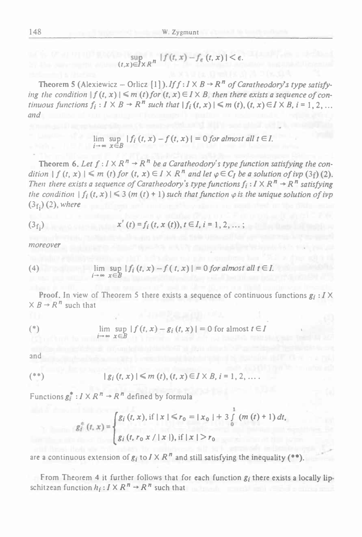$$
\sup_{(t,x)\in J\times\mathbb{R}^n} |f(t,x)-f_{\epsilon}(t,x)| < \epsilon.
$$

Theorem 5 (Alexiewicz – Orlicz [1]). *If*  $f : I \times B \rightarrow R^n$  of *Caratheodory's type satisfy*ing the condition  $|f(t, x)| \le m(t)$  for  $(t, x) \in I \times B$ , then there exists a sequence of continuous functions  $f_i: I \times B \to R^n$  such that  $|f_i(t, x)| \le m(t), (t, x) \in I \times B$ ,  $i = 1, 2, ...$ *and*

$$
\lim_{i \to \infty} \sup_{x \in B} |f_i(t, x) - f(t, x)| = 0 \text{ for almost all } t \in I.
$$

Theorem 6. Let  $f: I \times R^n \rightarrow R^n$  be a Caratheodory's type function satisfying the condition  $|f(t, x)| \le m(t)$  for  $(t, x) \in I \times R^n$  and let  $\varphi \in C_I$  be a solution of ivp  $(3f)(2)$ . Then there exists a sequence of Caratheodory's type functions  $f_i: I \times R^n \to R^n$  satisfying the condition  $|f_i(t, x)| \leq 3$  (m (t) + 1) such that function  $\varphi$  is the unique solution of ivp  $(3<sub>f</sub>)(2)$ , *where* 

$$
(3fi) \t x'(t) = fi(t, x(t)), t \in I, i = 1, 2, ...;
$$

*moreover*

(4) 
$$
\lim_{i \to \infty} \sup_{x \in B} |f_i(t, x) - f(t, x)| = 0 \text{ for almost all } t \in I.
$$

Proof. In view of Theorem 5 there exists a sequence of continuous functions  $g_i: I \times I$  $\times$  *B*  $\rightarrow$  *R*<sup>*n*</sup> such that

$$
\lim_{i \to \infty} \sup_{x \in B} |f(t, x) - g_i(t, x)| = 0 \text{ for almost } t \in I
$$

and

**Burney Ka** 

$$
(**)
$$
 | *g<sub>i</sub>* (*t*, *x*) | ≤ *m* (*t*), (*t*, *x*) ∈ *I* × *B*, *i* = 1, 2, ...

Functions  $g_i^*$ :  $I \times R^n \rightarrow R^n$  defined by formula

$$
g_i^{\pm}(t, x) = \begin{cases} g_i(t, x), \text{ if } |x| \le r_0 = |x_0| + 3 \int_0^1 (m(t) + 1) dt, \\ g_i(t, r_0 x / |x|), \text{ if } |x| > r_0 \end{cases}
$$

are a continuous extension of  $g_i$  to  $I \times R^n$  and still satisfying the inequality (\*\*).

From Theorem 4 it further follows that for each function  $g_i$  there exists a locally lipschitzean function  $h_i: I \times R^n \rightarrow R^n$  such that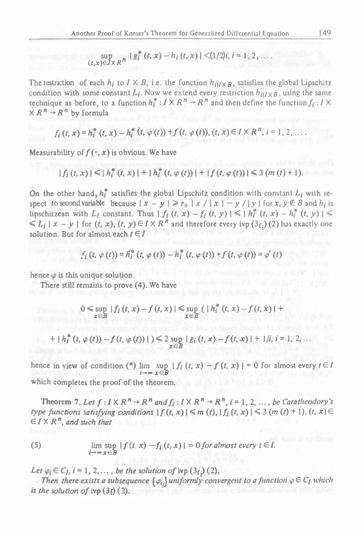Froof of Kneser's Theorem for Generalized Differential Equals of  $\sup_{x \in X} |g_i^*(t,x)-h_i(t,x)| \leq (1/2)i, i = 1,2,...$ *(t,x)eJxRn*

The restriction of each  $h_i$  to *I* X *B*, i.e. the function  $h_{i|IXB}$ , satisfies the global Lipschitz condition with some constant  $L_i$ . Now we extend every restriction  $h_{i|IXB}$ , using the same  $\sup_{(t,x)\in X} |g_t^-(t,x)-h_i(t,x)| < (1/2)i, i = 1, 2, ...$ <br>The restriction of each  $h_i$  to  $I \times B$ , i.e. the function  $h_{i|I \times B}$ , satisfies the global Lipschitz<br>condition with some constant  $L_i$ . Now we extend every restriction  $h_{i|I \times B}$ 

$$
f_i(t, x) = h_i^*(t, x) - h_i^*(t, \varphi(t)) + f(t, \varphi(t)), (t, x) \in I \times R^n, i = 1, 2, ...
$$

$$
\begin{aligned} \text{Measurable for } f(\cdot, x) \text{ is obvious. We have} \\ |f_i(t, x)| &< |h_i^*(t, x)| + |h_i^*(t, \varphi(t))| + |f(t, \varphi(t))| \le 3 \left( m \left( t \right) + 1 \right). \end{aligned}
$$

On the other hand,  $h_i^*$  satisfies the global Lipschitz condition with constant  $L_i$  with respect to second variable because  $|x - y| \ge r_0 |x| / |x| - y / |y|$  for x,  $y \notin B$  and  $h_i$  is lipschitzean with  $L_i$  constant. Thus  $|f_i(t, x) - f_i(t, y)| \leq |h_i^*(t, x) - h_i^*(t, y)| \leq$  $\leq L_i | x - y |$  for  $(t, x)$ ,  $(t, y) \in I \times R^n$  and therefore every ivp  $(3_f)$  (2) has exactly one solution. But for almost each  $t \in I$ *f<sub>i</sub>* (*t*,  $\varphi$  (*t*)) =  $H_i^*$  (*t*,  $\varphi$  (*t*)) -  $h_i^*$  (*t*,  $\varphi$  (*t*)) + *f* (*t*,  $\varphi$  (*t*)) =  $\varphi'$  (*t*)

$$
f_i(t, \varphi(t)) = h_i^*(t, \varphi(t)) - h_i^*(t, \varphi(t)) + f(t, \varphi(t)) = \varphi'(t)
$$

hence  $\varphi$  is this unique solution.

There still remains to prove (4). We have

$$
0 \leq \sup_{x \in B} |f_i(t, x) - f(t, x)| \leq \sup_{x \in B} (|h_i^*(t, x) - f(t, x)| +
$$

$$
x \in B
$$
  
+  $|h_i^*(t, \varphi(t)) - f(t, \varphi(t))|$   $) \le 2 \sup_{x \in B} |g_i(t, x) - f(t, x)| + 1/i, i = 1, 2, ...$ 

hence in view of condition (\*)  $\lim_{i \to \infty} \sup_{x \in B} |f_i(t, x) - f(t, x)| = 0$  for almost every  $t \in I$ which completes the proof of the theorem.

**Theorem 7.** Let  $f: I \times R^n \to R^n$  and  $f_i: I \times R^n \to R^n$ ,  $i = 1, 2, ...,$  be Caratheodory's *type* functions satisfying conditions  $|f(t, x)| \le m(t)$ ,  $|f_i(t, x)| \le 3$  (m  $(t) + 1$ ),  $(t, x) \in$  $\epsilon I \times R^n$ , and such that

(5) 
$$
\lim_{i \to \infty} \sup_{x \in B} |f(t, x) - f_i(t, x)| = 0 \text{ for almost every } t \in I.
$$

*Let*  $\varphi_i \in C_I$ ,  $i = 1, 2, \ldots$ , *be the solution of* ivp  $(3_f)$  (2).

Then there exists a subsequence  $\{\varphi_i\}$  uniformly convergent to a function  $\varphi \in C_I$  which *is the solution of ivp*  $(3f)(2)$ *.*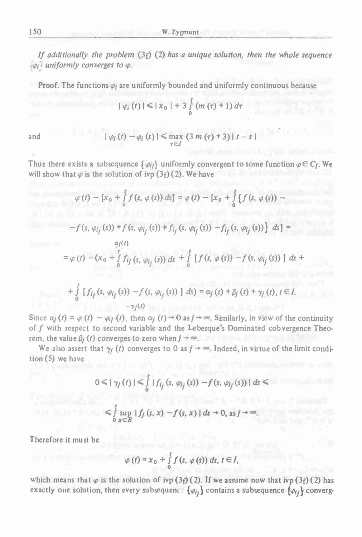If additionally the problem  $(3f)$  (2) has a unique solution, then the whole sequence *uniformly converges to*

**Proof.** The functions  $\varphi_i$  are uniformly bounded and uniformly continuous because

$$
|\varphi_{i}(t)| \leq |x_{0}| + 3 \int_{0}^{t} (m(\tau) + 1) d\tau
$$

and 
$$
|\varphi_i(t) - \varphi_i(s)| \leq \max_{\tau \in I} (3 m(\tau) + 3) |t - s|
$$

Thus there exists a subsequence  $\{\varphi_{ij}\}$  uniformly convergent to some function  $\varphi \in C_I$ . We will show that  $\varphi$  is the solution of ivp (3f)(2). We have

W. Zygmunt  
\n
$$
W. Zygmunt
$$
\n
$$
Hence (3f) (2) has a unique solution, then the whole symbol\n
$$
Hence (3f) (2) has a unique solution, then the whole symbol\n
$$
W = W
$$
\n
$$
W = W
$$
\n
$$
W = W
$$
\n
$$
W = W
$$
\n
$$
W = W
$$
\n
$$
W = W
$$
\n
$$
W = W
$$
\n
$$
W = W
$$
\n
$$
W = W
$$
\n
$$
W = W
$$
\n
$$
W = W
$$
\n
$$
W = W
$$
\n
$$
W = W
$$
\n
$$
W = W
$$
\n
$$
W = W
$$
\n
$$
W = W
$$
\n
$$
W = W
$$
\n
$$
W = W
$$
\n
$$
W = W
$$
\n
$$
W = W
$$
\n
$$
W = W
$$
\n
$$
W = W
$$
\n
$$
W = W
$$
\n
$$
W = W
$$
\n
$$
W = W
$$
\n
$$
W = W
$$
\n
$$
W = W
$$
\n
$$
W = W
$$
\n
$$
W = W
$$
\n
$$
W = W
$$
\n
$$
W = W
$$
\n
$$
W = W
$$
\n
$$
W = W
$$
\n
$$
W = W
$$
\n
$$
W = W
$$
\n
$$
W = W
$$
\n
$$
W = W
$$
\n
$$
W = W
$$
\n
$$
W = W
$$
\n
$$
W = W
$$
\n
$$
W = W
$$
\n
$$
W = W
$$
\n
$$
W = W
$$
\n
$$
W = W
$$
\n
$$
W = W
$$
\n
$$
W = W
$$
\n
$$
W = W
$$
\n
$$
W = W
$$
\n
$$
W = W
$$
\n
$$
W = W
$$
\n
$$
W = W
$$
\n
$$
W = W
$$
\n
$$
W = W
$$
\
$$
$$

$$
+\int_{0}^{t}\left[f_{ij}\left(s,\,\varphi_{ij}\left(s\right)\right)-f\left(s,\,\varphi_{ij}\left(s\right)\right)\,\right]\,ds\right)=\alpha_{j}\left(t\right)+\beta_{j}\left(t\right)+\gamma_{j}\left(t\right),\,t\in I.
$$

 $+\int_{0}^{t} [f_{ij}(s, \varphi_{ij}(s)) - f(s, \varphi_{ij}(s))] ds = \alpha_{j}(t) + \beta_{j}(t) + \gamma_{j}(t), t \in I.$ <br>Since  $\alpha_{j}(t) = \varphi(t) - \varphi_{ij}(t)$ , then  $\alpha_{j}(t) \rightarrow 0$  as  $j \rightarrow \infty$ . Similarly, in view of the continuity of f with respect to second variable and the Lebesqu of *f* with respect to second variable and the Lebesque'<sup>s</sup> Dominated cob vergence Theorem, the value  $\beta_j$  (*t*) converges to zero when  $j \to \infty$ .<br>We also assert that  $\gamma_j$  (*t*) converges to 0 as  $j \to \infty$ . Indeed, in virtue of the limit condi-*Ce*  $\alpha_j(t) = \varphi(t) - \varphi_{ij}(t)$ , then  $\alpha_j(t) \rightarrow 0$  as  $j \rightarrow \infty$ . Similarly, in view of the continuity  $f$  with respect to second variable and the Lebesque's Dominated cobvergence Theon, the value  $\beta_j(t)$  converges to 2ero when

tion (5) we have

$$
0 \leq |\gamma_j(t)| \leq \int_0^t |f_{ij}(s, \varphi_{ij}(s)) - f(s, \varphi_{ij}(s))| ds \leq
$$
  

$$
\leq \int_0^t \sup_{x \in B} |f_j(s, x) - f(s, x)| ds \to 0, \text{ as } j \to \infty.
$$

Therefore it must be

$$
\varphi(t) = x_0 + \int_0^t f(s, \varphi(s)) ds, t \in I,
$$

which means that  $\varphi$  is the solution of ivp (3f) (2). If we assume now that ivp (3f) (2) has exactly one solution, then every subsequent  ${\varphi_{i}}$  contains a subsequence  ${\varphi_{i}}$  converg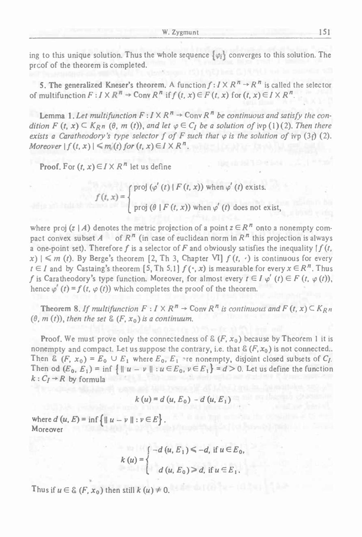ing to this unique solution. Thus the whole sequence  $\{\varphi_i\}$  converges to this solution. The proof of the theorem is completed.

5. The generalized Kneser's theorem. A function  $f: I \times R^n \rightarrow R^n$  is called the selector of multifunction  $F: I \times R^n \to \text{Conv } R^n$  if  $f(t, x) \in F(t, x)$  for  $(t, x) \in I \times R^n$ .

**Lemma 1.** Let multifunction  $F: I \times R^n \to \text{Conv } R^n$  be continuous and satisfy the condition  $F(t, x) \subseteq K_{Rn}(\theta, m(t))$ , and let  $\varphi \in C_I$  be a solution of ivp (1)(2). Then there exists a Caratheodory's type selector f of F such that  $\varphi$  is the solution of ivp (3t) (2). *Moreover*  $|f(t, x)| \le m(t)$  for  $(t, x) \in I \times R^n$ .

**Proof.** For  $(t, x) \in I \times R^n$  let us define

 $\begin{pmatrix} 1 \end{pmatrix}$ proj  $(\varphi' (t) \mid F(t, x))$  when  $\varphi' (t)$  exists. proj  $(\theta \mid F(t, x))$  when  $\varphi^{'}$   $(t)$  does not exist,

where proj  $(z | A)$  denotes the metric projection of a point  $z \in \mathbb{R}^n$  onto a nonempty comproj ( $\theta \mid F(t, x)$ ) when  $\varphi'(t)$  does not exist,<br>where proj ( $z \mid A$ ) denotes the metric projection of a point  $z \in R^n$  onto a nonempty com-<br>pact convex subset  $A$  of  $R^n$  (in case of euclidean norm  $\ln R^n$  this projection i pact convex subset A of  $R^n$  (in case of euclidean norm in  $R^n$  this projection is always a one-point set). Therefore f is a selector of F and obviously satisfies the inequality  $|f(t)|$  $f(x)$   $\leq m$  *(t).* By Berge's theorem [2, Th 3, Chapter VI]  $f(t, \cdot)$  is continuous for every  $x_1 \in M$  (*i*). By Beige's ineotein [2, 1 ii 3, Chapter  $x_1$ ]  $f(t, \nu)$  is continuous for every  $t \in I$  and by Castaing's theorem [5, Th 5,1]  $f(\cdot, x)$  is measurable for every  $x \in R^n$ . Thus  $f$  is Caratheodory's type functi f is Caratheodory's type function. Moreover, for almost every  $t \in I \varphi'(t) \in F(t, \varphi(t))$ , hence  $\varphi'(t) = f(t, \varphi(t))$  which completes the proof of the theorem.

**Theorem 8.** If multifunction  $F: I \times R^n \to \text{Conv } R^n$  is continuous and  $F(t, x) \subseteq K_{R^n}$  $(0, m(t))$ , *then the set* &  $(F, x_0)$  *is a continuum.* 

**Proof.** We must prove only the connectedness of  $\&$   $(F, x_0)$  because by Theorem 1 it is nonempty and compact. Let us suppose the contrary, i.e. that  $\&(F, x_0)$  is not connected.. Then &  $(F, x_0) = E_0 \cup E_1$  where  $E_0, E_1$  are nonempty, disjoint closed subsets of  $C_1$ . Then od  $(E_0, E_1) = \inf \{ ||u - v|| : u \in E_0, v \in E_1 \} = d > 0$ . Let us define the function  $k: C_I \rightarrow R$  by formula

$$
k(u) = d(u, E_0) - d(u, E_1)
$$

where  $d(u, E) = \inf \{ ||u - v|| : v \in E \}.$ Moreover

$$
k(u) = \begin{cases} -d(u, E_1) \le -d, \text{ if } u \in E_0, \\ d(u, E_0) \ge d, \text{ if } u \in E_1. \end{cases}
$$

Thus if  $u \in \mathcal{E}(F, x_0)$  then still  $k(u) \neq 0$ .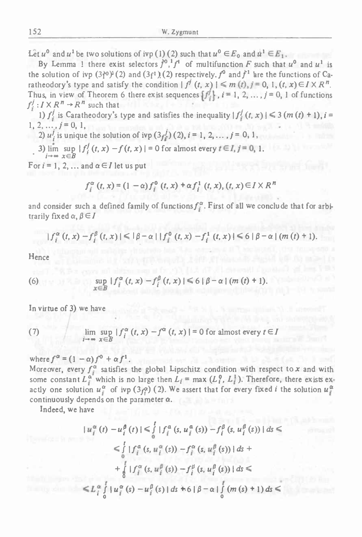Let  $u^0$  and  $u^1$  be two solutions of ivp (1) (2) such that  $u^0 \in E_0$  and  $u^1 \in E_1$ .

By Lemma 1 there exist selectors  $f^0$ ,<sup>1</sup> $f^1$  of multifunction *F* such that  $u^0$  and  $u^1$  is By Lemma 1 there exist selectors  $f^0$ ,  $f^1$  of multifunction F such that  $u^0$  and  $u^1$  is<br>the solution of ivp  $(3f^0)^1(2)$  and  $(3f^1)(2)$  respectively.  $f^0$  and  $f^1$  are the functions of Cathe solution of ivp  $(3f^0)^1(2)$  and  $(3f^1)(2)$  respectively.  $f^0$  and  $f^1$  are the functions of Can atheodory's type and satisfy the condition  $| f^j(t, x) | \le m(t), j = 0, 1, (t, x) \in I \times R^n$ . Let  $u^0$  and  $u^1$  be two solutions of ivp (1) (2) such that  $u^0 \,\epsilon E_0$  and  $u^1 \epsilon E_1$ .<br>By Lemma 1 there exist selectors  $f^0$ ,<sup>1</sup> $f^1$  of multifunction  $F$  such that  $u^0$  and  $u^1$  is<br>the solution of ivp (3 $f^0$ )<sup>*i*</sup> Thus, in view of Theorem 6 there exist sequences  $\{f_i^j\}$ ,  $i = 1, 2, ..., j = 0, 1$  of functions  $f_i^j : I \times R^n \to R^n$  such that

1)  $f_i^j$  is Caratheodory's type and satisfies the inequality  $|f_i^j(t, x)| \leq 3(m(t) + 1), i =$  $1, 2, \ldots, j = 0, 1,$ 

2)  $u^{j}$  is unique the solution of ivp  $(3t^{j})$  (2),  $i = 1, 2, ..., j = 0, 1$ ,

2)  $u'_i$  is unique the solution of ivp  $(3f'_i)$  (2),  $i = 1, 2, ..., j = 0, 1,$ <br>3) lim sup  $|f'_i(t, x) - f(t, x)| = 0$  for almost every  $t \in I, j = 0, 1,$ <br> $i \to \infty$   $x \in B$ 

For  $i = 1, 2, \ldots$  and  $\alpha \in I$  let us put

$$
f_i^{\alpha}(t, x) = (1 - \alpha) f_i^0(t, x) + \alpha f_i^1(t, x), (t, x) \in I \times R^n
$$

and consider such a defined family of functions  $f_i^{\alpha}$ . First of all we conclude that for arbitrarily fixed  $\alpha, \beta \in I$ 

$$
|f_i^{\alpha}(t, x) - f_i^{\beta}(t, x)| \leq |\beta - \alpha| |f_i^0(t, x) - f_i^1(t, x)| \leq \delta |\beta - \alpha| (m(t) + 1).
$$

Hence

(6) 
$$
\sup_{x \in B} |f_i^{\alpha}(t, x) - f_i^{\beta}(t, x)| \leq 6 |\beta - \alpha| (m (t) + 1)
$$

In virtue of 3) we have

(7) 
$$
\lim_{j \to \infty} \sup_{x \in B} |f_i^{\alpha}(t, x) - f^{\alpha}(t, x)| = 0 \text{ for almost every } t \in I
$$

where  $f^{\alpha} = (1 - \alpha) f^0 + \alpha f^1$ .

Moreover, every  $f_i^{\alpha}$  satisfies the global Lipschitz condition with respect to x and with some constant  $L_i^{\alpha}$  which is no large then  $L_i = \max(L_i^0, L_i^1)$ . Therefore, there exists exactly one solution  $u_i^{\alpha}$  of ivp  $(3f_i^{\alpha})$  (2). We assert that for every fixed *i* the solution  $u_i^{\alpha}$ continuously depends on the parameter  $\alpha$ .

Indeed, we have

$$
|u_{i}^{\alpha}(t) - u_{i}^{\beta}(t)| \leq \int_{0}^{t} |f_{i}^{\alpha}(s, u_{i}^{\alpha}(s)) - f_{i}^{\beta}(s, u_{i}^{\beta}(s))| ds \leq
$$
  

$$
\leq \int_{0}^{t} |f_{i}^{\alpha}(s, u_{i}^{\alpha}(s)) - f_{i}^{\alpha}(s, u_{i}^{\beta}(s))| ds +
$$
  

$$
+ \int_{0}^{t} |f_{i}^{\alpha}(s, u_{i}^{\beta}(s)) - f_{i}^{\beta}(s, u_{i}^{\beta}(s))| ds \leq
$$
  

$$
\leq L_{i}^{\alpha} \int_{0}^{t} |u_{i}^{\alpha}(s) - u_{i}^{\beta}(s)| ds + \delta |\beta - \alpha| \int_{0}^{t} (m(s) + 1) ds \leq
$$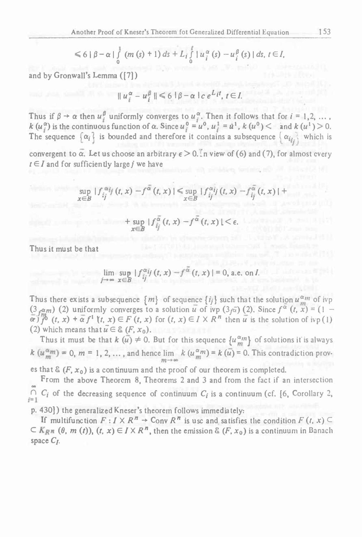Another Proof of Kneser's Theorem for Generalized Differential Equation  
\n
$$
\leq 6 |\beta - \alpha| \int_0^1 (m(s) + 1) ds + L_i \int_0^t |u_i^{\alpha}(s) - u_i^{\beta}(s)| ds, t \in I,
$$
\n
$$
\leq \min\{|\alpha| \leq 4 |\alpha| \leq 4 |\beta - \alpha| \int_0^t |u_i^{\alpha}(s) - u_i^{\beta}(s)| ds, t \in I,
$$
\n
$$
\leq \min\{|\alpha| \leq 4 |\beta - \alpha| \int_0^t |u_i^{\alpha}(s)| ds \}
$$
\n
$$
\leq \min\{|\alpha| \leq 4 |\alpha| \leq 4 |\alpha| \leq 4 |\alpha| \}
$$
\n
$$
\leq \min\{|\alpha| \leq 4 |\alpha| \leq 4 |\alpha| \}
$$
\n
$$
\leq \min\{|\alpha| \leq 4 |\alpha| \}
$$
\n
$$
\leq \min\{|\alpha| \leq 4 |\alpha| \}
$$
\n
$$
\leq \min\{|\alpha| \leq 4 |\alpha| \}
$$
\n
$$
\leq \min\{|\alpha| \leq 4 |\alpha| \}
$$
\n
$$
\leq \min\{|\alpha| \leq 4 |\alpha| \}
$$
\n
$$
\leq \min\{|\alpha| \leq 4 |\alpha| \}
$$
\n
$$
\leq \min\{|\alpha| \leq 4 |\alpha| \}
$$
\n
$$
\leq \min\{|\alpha| \leq 4 |\alpha| \}
$$
\n
$$
\leq \min\{|\alpha| \leq 4 |\alpha| \}
$$
\n
$$
\leq \min\{|\alpha| \leq 4 |\alpha| \}
$$
\n
$$
\leq \min\{|\alpha| \leq 4 |\alpha| \}
$$
\n
$$
\leq \min\{|\alpha| \leq 4 |\alpha| \}
$$
\n
$$
\leq \min\{|\alpha| \leq 4 |\alpha| \}
$$
\n
$$
\leq \min\{|\alpha| \}
$$
\n
$$
\leq \min\{|\alpha| \}
$$
\n
$$
\leq \min\{|\alpha| \}
$$
\n
$$
\leq \min\{|\alpha| \}
$$
\n
$$
\leq \min\{|\alpha| \}
$$
\n
$$
\leq \min\{|\alpha| \}
$$
\n<

and by Gronwall'<sup>s</sup> Lemma ([7])

$$
||u_i^{\alpha}-u_i^{\beta}|| \leq 6 |\beta-\alpha| c e^{L_i t}, t \in I.
$$

Thus if  $\beta \to \alpha$  then  $u_j^{\beta}$  uniformly converges to  $u_j^{\alpha}$ . Then it follows that for  $i = 1, 2, ...$ ,<br>  $k(u_j^{\alpha})$  is the continuous function of  $\alpha$ . Since  $u_j^{\alpha} = u^0$ ,  $u_j^{\beta} = u^1$ ,  $k(u^{\alpha}) < \alpha$  and  $k(u^1) > 0$ .<br>
The seque

convergent to  $\alpha$ . Let us choose an arbitrary  $\epsilon > 0$ . In view of (6) and (7), for almost every  $t \in I$  and for sufficiently large *j* we have

k (
$$
u_i^{\alpha}
$$
) is the continuous function of  $\alpha$ . Since  $u_j^{\alpha} = u^0$ ,  $u_j^{\alpha} = u^1$ , k ( $u^0$ )  $\lt$  and k ( $u^1$ ) > 0.  
\nThe sequence  $\{\alpha_i\}$  is bounded and therefore it contains a subsequence  $\{\alpha_{ij}\}$  which is  
\nconvergent to  $\overline{\alpha}$ . Let us choose an arbitrary  $\epsilon > 0$ . In view of (6) and (7), for almost every  
\n $t \in I$  and for sufficiently large j we have  
\n
$$
\sup_{x \in B} |f_{ij}^{\alpha i}f(t, x) - f^{\overline{\alpha}}(t, x)| \leq \sup_{x \in B} |f_{ij}^{\alpha i}f(t, x) - f_{ij}^{\overline{\alpha}}(t, x)| +
$$
\n
$$
+ \sup_{x \in B} |f_{ij}^{\overline{\alpha}}(t, x) - f^{\overline{\alpha}}(t, x)| < \epsilon.
$$

Thus it must be that

+ 
$$
\sup_{x \in B} |f_{ij}^{\overline{\alpha}}(t, x) - f^{\overline{\alpha}}(t, x)| < \epsilon
$$
.  
\n $\lim_{j \to \infty} \sup_{x \in B} |f_{ij}^{\alpha_{ij}}(t, x) - f^{\overline{\alpha}}(t, x)| = 0$ , a.e. on *I*.

Thus there exists a subsequence  $\{m\}$  of sequence  $\{i_j\}$  such that the solution  $u_m^{\alpha_m}$  of ivp Thus there exists a subsequence  $\{m\}$  of sequence  $\{ij\}$  such that the solution  $u_m^{am}$  of ivp  $(3_f\bar{a})$  (2). Since  $f^{\alpha}$  ( $t, x$ ) = (1 -  $\frac{1}{2}$ ,  $\frac{1}{2}$  $\overline{\alpha}$ *f*<sup>1</sup> $\overline{f}$ <sup>*f*</sup> $\overline{f}$ <sup>*f*</sup> $\overline{f}$ *f* $\overline{f}$  $\overline{f}$  $\overline{f}$  $\overline{f}$  $\overline{f}$  $\overline{f}$  $\overline{f}$  $\overline{f}$  $\overline{f}$  $\overline{f}$  $\overline{f}$  $\overline{f}$  $\overline{f}$  $\overline{f}$  $\overline{f}$  $\overline{f}$  $\overline{f}$  $\overline{f}$  $\overline{f}$  $\overline{f}$  $\overline{f}$ (2) which means that  $u \in \mathcal{E}(F, x_0)$ .

Thus it must be that  $k(\bar{u}) \neq 0$ . But for this sequence  $\{u_m^{\alpha} \}$  of solutions it is always  $k(\mu_m^{\alpha_m}) = 0$ ,  $m = 1, 2, ...$ , and hence  $\lim_{m \to \infty} k(\mu_m^{\alpha_m}) = k(\bar{u}) = 0$ . This contradiction prov-

es that  $\mathcal{E}(F, x_0)$  is a continuum and the proof of our theorem is completed.

From the above Theorem 8, Theorems <sup>2</sup> and <sup>3</sup> and from the fact if an intersection **oo**  $C_i$  of the decreasing sequence of continuum  $C_i$  is a continuum (cf. [6, Corollary 2, From the above Theorem 8, Theorems 2 and 3 and from the fact if an intersection<br>  $\bigcap_{i=1}^{\infty} C_i$  of the decreasing sequence of continuum  $C_i$  is a continuum (cf. [6, Corollary 2,<br>  $\bigcap_{i=1}^{\infty} C_i$  of the decreasing seq

p. 430]) the generalized Kneser'<sup>s</sup> theorem follows immediately:

If multifunction  $F: I \times R^n \to \text{Conv } R^n$  is use and satisfies the condition  $F(t, x) \subseteq K_{R^n}$  ( $\theta$ ,  $m(t)$ ),  $(t, x) \in I \times R^n$ , then the emission &  $(F, x_0)$  is a continuum in Banach space *Cj.*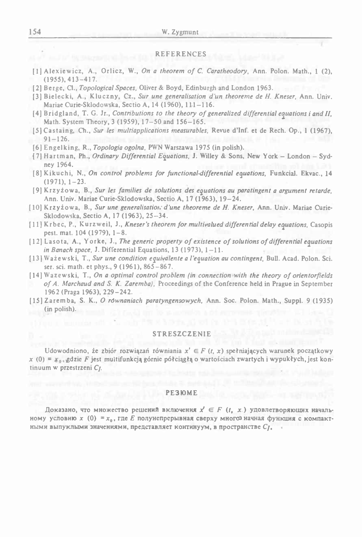#### REFERENCES

- [1] Alcxiewicz, A., Orlicz, W., *On <sup>a</sup> theorem of C. Caratheodory,* Ann. Polon. Math., <sup>1</sup> (2), (1955), 413-417.
- [ 2] Berge, Cl., *Topological Spaces,* Oliver & Boyd, Edinburgh and London 1963.
- [3] Bielecki, A., Kluczny, Cz., *Sur une generalisation <sup>d</sup>'un theoreme de H. Kneser,* Ann. Univ. Mariae Curie-Sklodowska, Sectio A, <sup>14</sup> (1960), 111-116.
- [4] Bridgland, T. G. Jr., Contributions to the theory of generalized differential equations i and II, Math. System Theory, <sup>3</sup> (1959), 17-50 and 156-165.
- [SJCastaing, Ch., *Sur les multiapplications measurables,* Revue <sup>d</sup>'lnf. et de Rech. Op., <sup>1</sup> (1967),  $91 - 126$ .
- [6] Engelking, R., *Topologia ogolna,* PWN Warszawa <sup>1975</sup> (in polish).
- (7) Hartman, Ph., *Ordinary Differential Equations,* J. Willey & Sons, New York London Sydney 1964.
- [8, Kikuchi, N., *On control problems for functional-differential equations,* Funkcial. Ekvac., <sup>14</sup>  $(1971), 1-23.$
- [9] Krzyżowa, B., Sur les families de solutions des equations au paratingent a argument retarde. Ann. Univ. Mariae Curie-Sklodowska, Sectio A, <sup>17</sup> (1963), 19-24.
- [10] Krzyżowa, B., *Sur une generalisation' <sup>d</sup>'une theoreme de H. Kneser,* Ann. Univ. Mariae Curie-Sklodowska, Sectio A, <sup>17</sup> (1963), <sup>25</sup>—34.
- [11] Krbec, P., Kurzweil, J., *Kneser's theorem for multivalued differential delay equations,* Casopis pest. mat. <sup>104</sup> (1979), 1-8.
- [12] Lasota, A., Yorke, J., The generic property of existence of solutions of differential equations *in Banach space,* J. Differential Equations, <sup>13</sup> (1973), 1-11.
- [13] Ważewski, T., *Sur une condition equivalente <sup>a</sup> <sup>I</sup>'equation au contingent,* Bull. Acad. Polon. Sci. ser. sci. math, et phys., <sup>9</sup> (1961), 865-867.
- [14] Wazewski, T., On a optimal control problem (in connection with the theory of orientorfields *of A. Marchaud and S. K. Zaremba),* Proceedings of the Conference held in Prague in September <sup>1962</sup> (Praga 1963), 229-242.
- [15] Zaremba, S. K., *<sup>O</sup> równaniach paratyngensowych,* Ann. Soc. Polon. Math., Suppl. <sup>9</sup> (1935) (in polish).

#### STRESZCZENIE

Udowodniono, że zbiór rozwiązań równiania *x'* <sup>6</sup> *<sup>F</sup> (t, x)* spełniających warunek początkowy *<sup>x</sup>* (0) <sup>=</sup> gdzie *<sup>F</sup>* jest multifunkcją górnie półciągłą <sup>o</sup> wartościach zwartych <sup>i</sup> wypukłych, jest kontinuum <sup>w</sup> przestrzeni *C/.*

#### РЕЗЮМЕ

Доказано, что множество решений включения  $x' \in F$  ( $t$ ,  $x$ .) удовлетворяющих начальному условию  $x$  (0) =  $x_0$ , где E полунепрерывная сверху многоз начная функция с компактными выпуклыми значениями, представляет континуум, в пространстве  $C_I$ .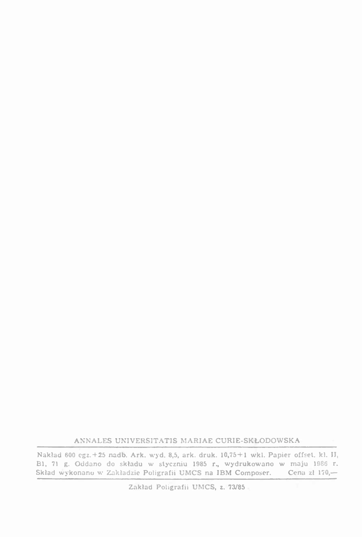ANNALES UNIVERSITATIS MARIAE CURIE-SKŁODOWSKA

Nakiad <sup>600</sup> egz.+25 nadb. Ark. wyd. 8,5, ark. druk. 10,75+1 wkl. Papier offset, kl. II, BI, <sup>71</sup> g. Oddano do składu <sup>w</sup> styczniu <sup>1985</sup> r., wydrukowano <sup>w</sup> maju <sup>1986</sup> r. Skład 600 cgz.+25 nadb. Ark. wyd. 8,5, ark. druk. 10,75+1 wkl. Papier offset. kl. II<br>B1, 71 g. Oddano do składu w styczniu 1985 r., wydrukowano w maju 1986 r.<br>Skład wykonano w Zakładzie Poligrafii UMCS na IBM Composer. Cen Skład wykonano w Zakładzie Poligrafii UMCS na IBM Composer.<br>Zakład Poligrafii UMCS, z. 73/85